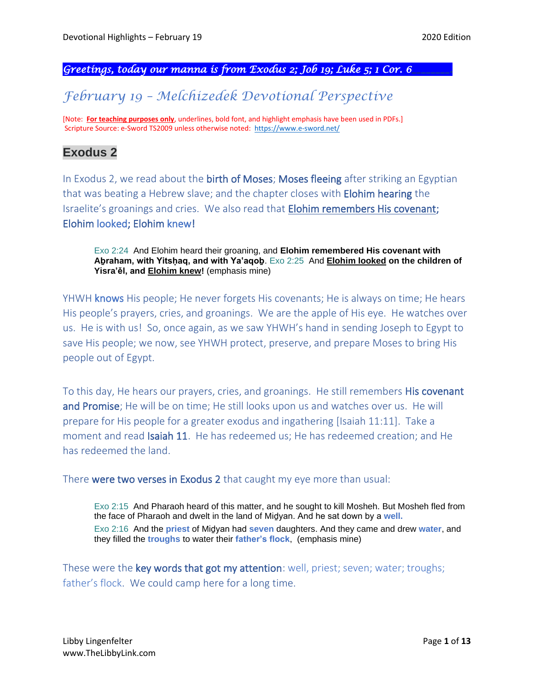#### *Greetings, today our manna is from Exodus 2; Job 19; Luke 5; 1 Cor. 6\_\_\_\_\_\_\_\_.*

# *February 19 – Melchizedek Devotional Perspective*

[Note: **For teaching purposes only**, underlines, bold font, and highlight emphasis have been used in PDFs.] Scripture Source: e-Sword TS2009 unless otherwise noted: <https://www.e-sword.net/>

# **Exodus 2**

In Exodus 2, we read about the **birth of Moses; Moses fleeing** after striking an Egyptian that was beating a Hebrew slave; and the chapter closes with **Elohim hearing** the Israelite's groanings and cries. We also read that Elohim remembers His covenant; Elohim looked; Elohim knew!

Exo 2:24 And Elohim heard their groaning, and **Elohim remembered His covenant with Aḇraham, with Yitsḥaq, and with Ya'aqoḇ**. Exo 2:25 And **Elohim looked on the children of Yisra'ěl, and Elohim knew!** (emphasis mine)

YHWH knows His people; He never forgets His covenants; He is always on time; He hears His people's prayers, cries, and groanings. We are the apple of His eye. He watches over us. He is with us! So, once again, as we saw YHWH's hand in sending Joseph to Egypt to save His people; we now, see YHWH protect, preserve, and prepare Moses to bring His people out of Egypt.

To this day, He hears our prayers, cries, and groanings. He still remembers His covenant and Promise; He will be on time; He still looks upon us and watches over us. He will prepare for His people for a greater exodus and ingathering [Isaiah 11:11]. Take a moment and read Isaiah 11. He has redeemed us; He has redeemed creation; and He has redeemed the land.

There were two verses in Exodus 2 that caught my eye more than usual:

Exo 2:15 And Pharaoh heard of this matter, and he sought to kill Mosheh. But Mosheh fled from the face of Pharaoh and dwelt in the land of Miḏyan. And he sat down by a **well.** Exo 2:16 And the **priest** of Miḏyan had **seven** daughters. And they came and drew **water**, and they filled the **troughs** to water their **father's flock**, (emphasis mine)

These were the key words that got my attention: well, priest; seven; water; troughs; father's flock. We could camp here for a long time.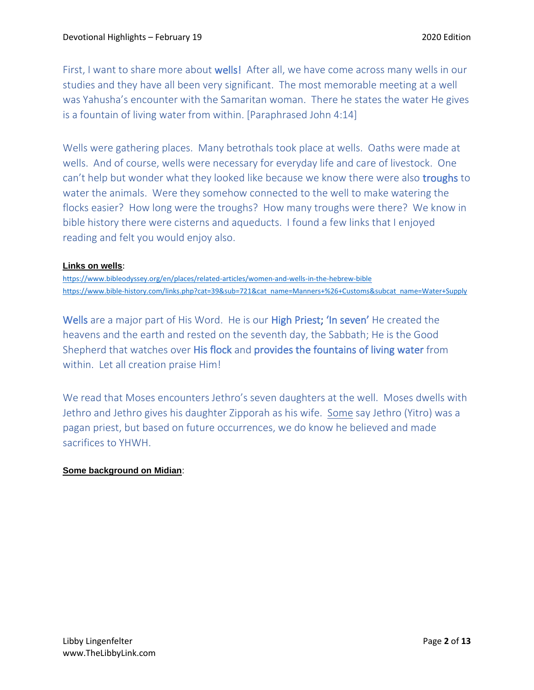First, I want to share more about wells! After all, we have come across many wells in our studies and they have all been very significant. The most memorable meeting at a well was Yahusha's encounter with the Samaritan woman. There he states the water He gives is a fountain of living water from within. [Paraphrased John 4:14]

Wells were gathering places. Many betrothals took place at wells. Oaths were made at wells. And of course, wells were necessary for everyday life and care of livestock. One can't help but wonder what they looked like because we know there were also troughs to water the animals. Were they somehow connected to the well to make watering the flocks easier? How long were the troughs? How many troughs were there? We know in bible history there were cisterns and aqueducts. I found a few links that I enjoyed reading and felt you would enjoy also.

#### **Links on wells**:

<https://www.bibleodyssey.org/en/places/related-articles/women-and-wells-in-the-hebrew-bible> [https://www.bible-history.com/links.php?cat=39&sub=721&cat\\_name=Manners+%26+Customs&subcat\\_name=Water+Supply](https://www.bible-history.com/links.php?cat=39&sub=721&cat_name=Manners+%26+Customs&subcat_name=Water+Supply)

Wells are a major part of His Word. He is our **High Priest; 'In seven'** He created the heavens and the earth and rested on the seventh day, the Sabbath; He is the Good Shepherd that watches over His flock and provides the fountains of living water from within. Let all creation praise Him!

We read that Moses encounters Jethro's seven daughters at the well. Moses dwells with Jethro and Jethro gives his daughter Zipporah as his wife. Some say Jethro (Yitro) was a pagan priest, but based on future occurrences, we do know he believed and made sacrifices to YHWH.

#### **Some background on Midian**: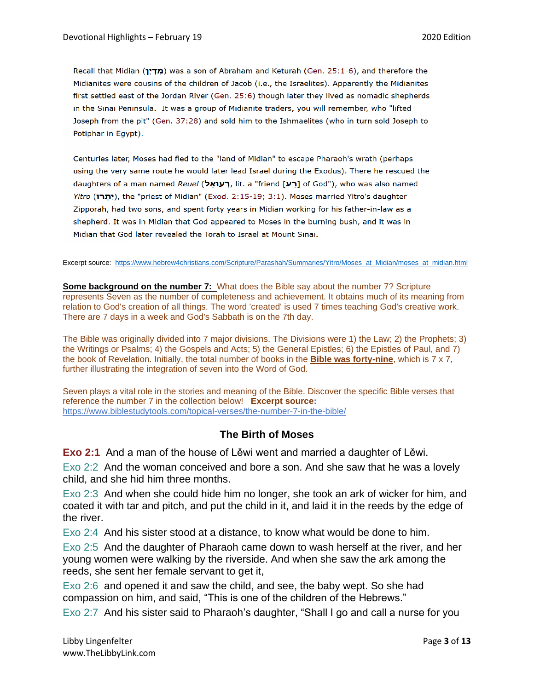Recall that Midian (מדין) was a son of Abraham and Keturah (Gen. 25:1-6), and therefore the Midianites were cousins of the children of Jacob (i.e., the Israelites). Apparently the Midianites first settled east of the Jordan River (Gen. 25:6) though later they lived as nomadic shepherds in the Sinai Peninsula. It was a group of Midianite traders, you will remember, who "lifted Joseph from the pit" (Gen. 37:28) and sold him to the Ishmaelites (who in turn sold Joseph to Potiphar in Egypt).

Centuries later, Moses had fled to the "land of Midian" to escape Pharaoh's wrath (perhaps using the very same route he would later lead Israel during the Exodus). There he rescued the daughters of a man named Reuel (רען, lit. a "friend [רען of God"), who was also named Yitro (יתרו), the "priest of Midian" (Exod. 2:15-19; 3:1). Moses married Yitro's daughter Zipporah, had two sons, and spent forty years in Midian working for his father-in-law as a shepherd. It was in Midian that God appeared to Moses in the burning bush, and it was in Midian that God later revealed the Torah to Israel at Mount Sinai.

Excerpt source: [https://www.hebrew4christians.com/Scripture/Parashah/Summaries/Yitro/Moses\\_at\\_Midian/moses\\_at\\_midian.html](https://www.hebrew4christians.com/Scripture/Parashah/Summaries/Yitro/Moses_at_Midian/moses_at_midian.html)

**Some background on the number 7:** What does the Bible say about the number 7? Scripture represents Seven as the number of completeness and achievement. It obtains much of its meaning from relation to God's creation of all things. The word 'created' is used 7 times teaching God's creative work. There are 7 days in a week and God's Sabbath is on the 7th day.

The Bible was originally divided into 7 major divisions. The Divisions were 1) the Law; 2) the Prophets; 3) the Writings or Psalms; 4) the Gospels and Acts; 5) the General Epistles; 6) the Epistles of Paul, and 7) the book of Revelation. Initially, the total number of books in the **Bible was forty-nine**, which is 7 x 7, further illustrating the integration of seven into the Word of God.

Seven plays a vital role in the stories and meaning of the Bible. Discover the specific Bible verses that reference the number 7 in the collection below! **Excerpt source:** <https://www.biblestudytools.com/topical-verses/the-number-7-in-the-bible/>

## **The Birth of Moses**

**Exo 2:1** And a man of the house of Lěwi went and married a daughter of Lěwi.

Exo 2:2 And the woman conceived and bore a son. And she saw that he was a lovely child, and she hid him three months.

Exo 2:3 And when she could hide him no longer, she took an ark of wicker for him, and coated it with tar and pitch, and put the child in it, and laid it in the reeds by the edge of the river.

Exo 2:4 And his sister stood at a distance, to know what would be done to him.

Exo 2:5 And the daughter of Pharaoh came down to wash herself at the river, and her young women were walking by the riverside. And when she saw the ark among the reeds, she sent her female servant to get it,

Exo 2:6 and opened it and saw the child, and see, the baby wept. So she had compassion on him, and said, "This is one of the children of the Hebrews."

Exo 2:7 And his sister said to Pharaoh's daughter, "Shall I go and call a nurse for you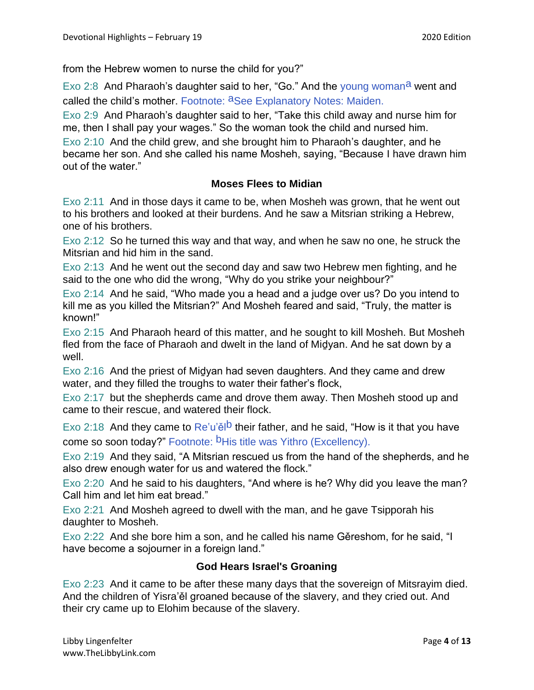from the Hebrew women to nurse the child for you?"

Exo 2:8 And Pharaoh's daughter said to her, "Go." And the young woman<sup>a</sup> went and called the child's mother. Footnote: aSee Explanatory Notes: Maiden.

Exo 2:9 And Pharaoh's daughter said to her, "Take this child away and nurse him for me, then I shall pay your wages." So the woman took the child and nursed him.

Exo 2:10 And the child grew, and she brought him to Pharaoh's daughter, and he became her son. And she called his name Mosheh, saying, "Because I have drawn him out of the water."

## **Moses Flees to Midian**

Exo 2:11 And in those days it came to be, when Mosheh was grown, that he went out to his brothers and looked at their burdens. And he saw a Mitsrian striking a Hebrew, one of his brothers.

Exo 2:12 So he turned this way and that way, and when he saw no one, he struck the Mitsrian and hid him in the sand.

Exo 2:13 And he went out the second day and saw two Hebrew men fighting, and he said to the one who did the wrong, "Why do you strike your neighbour?"

Exo 2:14 And he said, "Who made you a head and a judge over us? Do you intend to kill me as you killed the Mitsrian?" And Mosheh feared and said, "Truly, the matter is known!"

Exo 2:15 And Pharaoh heard of this matter, and he sought to kill Mosheh. But Mosheh fled from the face of Pharaoh and dwelt in the land of Midyan. And he sat down by a well.

Exo 2:16 And the priest of Miḏyan had seven daughters. And they came and drew water, and they filled the troughs to water their father's flock,

Exo 2:17 but the shepherds came and drove them away. Then Mosheh stood up and came to their rescue, and watered their flock.

Exo 2:18 And they came to  $Re'u'$ e<sup>lb</sup> their father, and he said, "How is it that you have come so soon today?" Footnote: <sup>b</sup>His title was Yithro (Excellency).

Exo 2:19 And they said, "A Mitsrian rescued us from the hand of the shepherds, and he also drew enough water for us and watered the flock."

Exo 2:20 And he said to his daughters, "And where is he? Why did you leave the man? Call him and let him eat bread."

Exo 2:21 And Mosheh agreed to dwell with the man, and he gave Tsipporah his daughter to Mosheh.

Exo 2:22 And she bore him a son, and he called his name Gěreshom, for he said, "I have become a sojourner in a foreign land."

# **God Hears Israel's Groaning**

Exo 2:23 And it came to be after these many days that the sovereign of Mitsrayim died. And the children of Yisra'ěl groaned because of the slavery, and they cried out. And their cry came up to Elohim because of the slavery.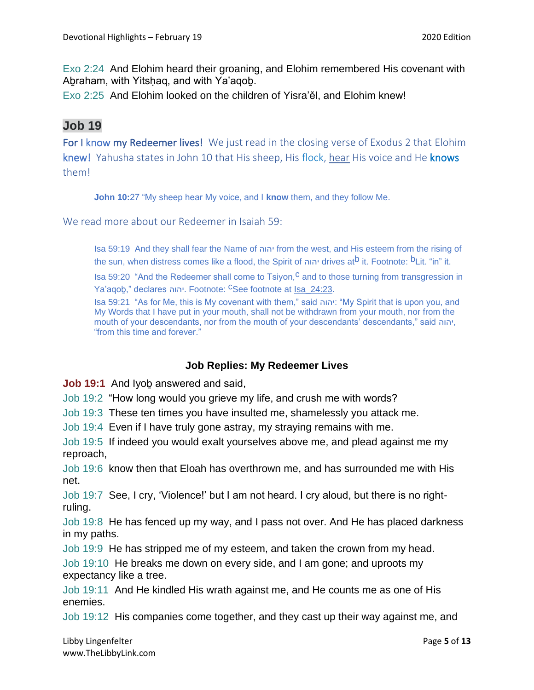Exo 2:24 And Elohim heard their groaning, and Elohim remembered His covenant with Abraham, with Yitshaq, and with Ya'aqob.

Exo 2:25 And Elohim looked on the children of Yisra'ěl, and Elohim knew!

# **Job 19**

For I know my Redeemer lives! We just read in the closing verse of Exodus 2 that Elohim knew! Yahusha states in John 10 that His sheep, His flock, hear His voice and He knows them!

**John 10:**27 "My sheep hear My voice, and I **know** them, and they follow Me.

We read more about our Redeemer in Isaiah 59:

Isa 59:19 And they shall fear the Name of יהוה from the west, and His esteem from the rising of the sun, when distress comes like a flood, the Spirit of יהוה drives atb it. Footnote: bLit. "in" it.

Isa 59:20 "And the Redeemer shall come to Tsiyon,<sup>C</sup> and to those turning from transgression in Ya'aqoḇ," declares יהוה. Footnote: cSee footnote at Isa\_24:23.

Isa 59:21 "As for Me, this is My covenant with them," said יהוה:" My Spirit that is upon you, and My Words that I have put in your mouth, shall not be withdrawn from your mouth, nor from the mouth of your descendants, nor from the mouth of your descendants' descendants," said יהוה, "from this time and forever."

## **Job Replies: My Redeemer Lives**

**Job 19:1** And Iyoḇ answered and said,

Job 19:2 "How long would you grieve my life, and crush me with words?

Job 19:3 These ten times you have insulted me, shamelessly you attack me.

Job 19:4 Even if I have truly gone astray, my straying remains with me.

Job 19:5 If indeed you would exalt yourselves above me, and plead against me my reproach,

Job 19:6 know then that Eloah has overthrown me, and has surrounded me with His net.

Job 19:7 See, I cry, 'Violence!' but I am not heard. I cry aloud, but there is no rightruling.

Job 19:8 He has fenced up my way, and I pass not over. And He has placed darkness in my paths.

Job 19:9 He has stripped me of my esteem, and taken the crown from my head.

Job 19:10 He breaks me down on every side, and I am gone; and uproots my expectancy like a tree.

Job 19:11 And He kindled His wrath against me, and He counts me as one of His enemies.

Job 19:12 His companies come together, and they cast up their way against me, and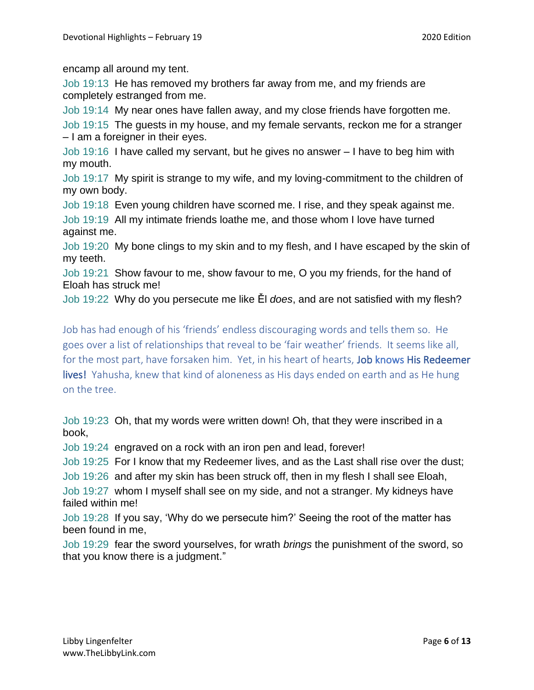encamp all around my tent.

Job 19:13 He has removed my brothers far away from me, and my friends are completely estranged from me.

Job 19:14 My near ones have fallen away, and my close friends have forgotten me.

Job 19:15 The guests in my house, and my female servants, reckon me for a stranger – I am a foreigner in their eyes.

Job 19:16 I have called my servant, but he gives no answer – I have to beg him with my mouth.

Job 19:17 My spirit is strange to my wife, and my loving-commitment to the children of my own body.

Job 19:18 Even young children have scorned me. I rise, and they speak against me.

Job 19:19 All my intimate friends loathe me, and those whom I love have turned against me.

Job 19:20 My bone clings to my skin and to my flesh, and I have escaped by the skin of my teeth.

Job 19:21 Show favour to me, show favour to me, O you my friends, for the hand of Eloah has struck me!

Job 19:22 Why do you persecute me like Ěl *does*, and are not satisfied with my flesh?

Job has had enough of his 'friends' endless discouraging words and tells them so. He goes over a list of relationships that reveal to be 'fair weather' friends. It seems like all, for the most part, have forsaken him. Yet, in his heart of hearts, Job knows His Redeemer lives! Yahusha, knew that kind of aloneness as His days ended on earth and as He hung on the tree.

Job 19:23 Oh, that my words were written down! Oh, that they were inscribed in a book,

Job 19:24 engraved on a rock with an iron pen and lead, forever!

Job 19:25 For I know that my Redeemer lives, and as the Last shall rise over the dust;

Job 19:26 and after my skin has been struck off, then in my flesh I shall see Eloah,

Job 19:27 whom I myself shall see on my side, and not a stranger. My kidneys have failed within me!

Job 19:28 If you say, 'Why do we persecute him?' Seeing the root of the matter has been found in me,

Job 19:29 fear the sword yourselves, for wrath *brings* the punishment of the sword, so that you know there is a judgment."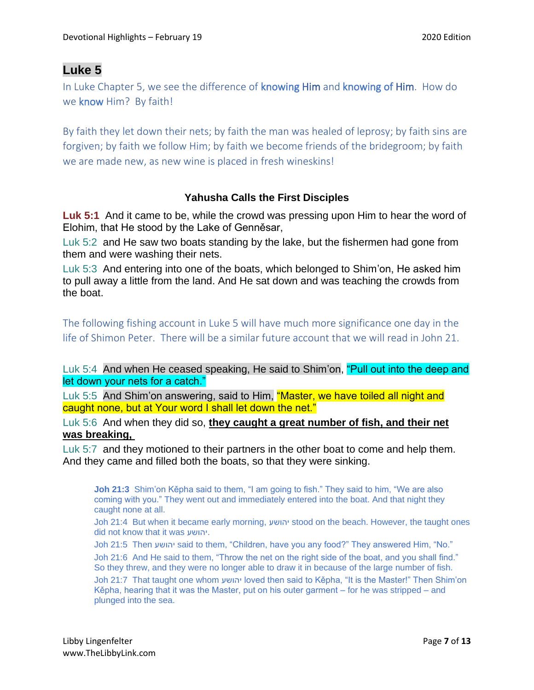# **Luke 5**

In Luke Chapter 5, we see the difference of knowing Him and knowing of Him. How do we know Him? By faith!

By faith they let down their nets; by faith the man was healed of leprosy; by faith sins are forgiven; by faith we follow Him; by faith we become friends of the bridegroom; by faith we are made new, as new wine is placed in fresh wineskins!

## **Yahusha Calls the First Disciples**

**Luk 5:1** And it came to be, while the crowd was pressing upon Him to hear the word of Elohim, that He stood by the Lake of Genněsar,

Luk 5:2 and He saw two boats standing by the lake, but the fishermen had gone from them and were washing their nets.

Luk 5:3 And entering into one of the boats, which belonged to Shim'on, He asked him to pull away a little from the land. And He sat down and was teaching the crowds from the boat.

The following fishing account in Luke 5 will have much more significance one day in the life of Shimon Peter. There will be a similar future account that we will read in John 21.

Luk 5:4 And when He ceased speaking, He said to Shim'on, "Pull out into the deep and let down your nets for a catch."

Luk 5:5 And Shim'on answering, said to Him, "Master, we have toiled all night and caught none, but at Your word I shall let down the net."

Luk 5:6 And when they did so, **they caught a great number of fish, and their net was breaking,**

Luk 5:7 and they motioned to their partners in the other boat to come and help them. And they came and filled both the boats, so that they were sinking.

**Joh 21:3** Shim'on Kěpha said to them, "I am going to fish." They said to him, "We are also coming with you." They went out and immediately entered into the boat. And that night they caught none at all.

Joh 21:4 But when it became early morning, יהושע stood on the beach. However, the taught ones did not know that it was יהושע.

Joh 21:5 Then יהושע said to them, "Children, have you any food?" They answered Him, "No."

Joh 21:6 And He said to them, "Throw the net on the right side of the boat, and you shall find." So they threw, and they were no longer able to draw it in because of the large number of fish.

Joh 21:7 That taught one whom יהושע loved then said to Kěpha, "It is the Master!" Then Shim'on Kěpha, hearing that it was the Master, put on his outer garment – for he was stripped – and plunged into the sea.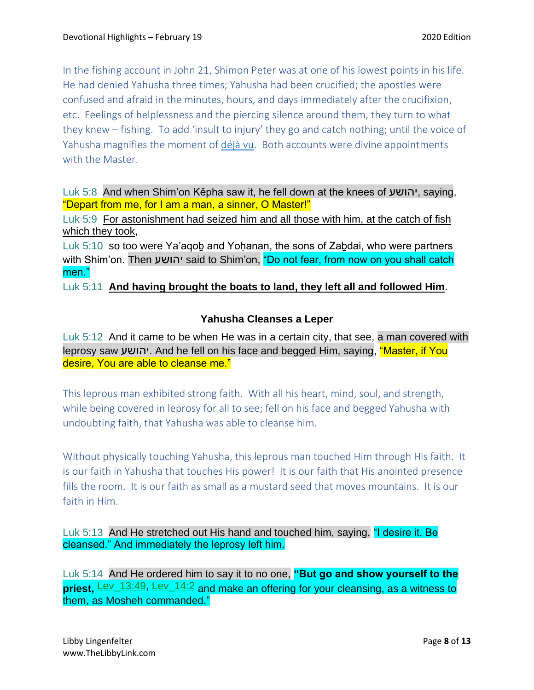In the fishing account in John 21, Shimon Peter was at one of his lowest points in his life. He had denied Yahusha three times; Yahusha had been crucified; the apostles were confused and afraid in the minutes, hours, and days immediately after the crucifixion, etc. Feelings of helplessness and the piercing silence around them, they turn to what they knew – fishing. To add 'insult to injury' they go and catch nothing; until the voice of Yahusha magnifies the moment of [déjà vu.](https://en.wikipedia.org/wiki/D%C3%A9j%C3%A0_vu) Both accounts were divine appointments with the Master.

Luk 5:8 And when Shim'on Kěpha saw it, he fell down at the knees of יהושע, saying, "Depart from me, for I am a man, a sinner, O Master!"

Luk 5:9 For astonishment had seized him and all those with him, at the catch of fish which they took,

Luk 5:10 so too were Ya'aqoḇ and Yoḥanan, the sons of Zaḇdai, who were partners with Shim'on. Then יהושע said to Shim'on, "Do not fear, from now on you shall catch men."

Luk 5:11 **And having brought the boats to land, they left all and followed Him**.

# **Yahusha Cleanses a Leper**

Luk 5:12 And it came to be when He was in a certain city, that see, a man covered with leprosy saw יהושע. And he fell on his face and begged Him, saying, "Master, if You desire, You are able to cleanse me."

This leprous man exhibited strong faith. With all his heart, mind, soul, and strength, while being covered in leprosy for all to see; fell on his face and begged Yahusha with undoubting faith, that Yahusha was able to cleanse him.

Without physically touching Yahusha, this leprous man touched Him through His faith. It is our faith in Yahusha that touches His power! It is our faith that His anointed presence fills the room. It is our faith as small as a mustard seed that moves mountains. It is our faith in Him.

Luk 5:13 And He stretched out His hand and touched him, saying, "I desire it. Be cleansed." And immediately the leprosy left him.

Luk 5:14 And He ordered him to say it to no one, **"But go and show yourself to the priest,** Lev\_13:49, Lev\_14:2 and make an offering for your cleansing, as a witness to them, as Mosheh commanded."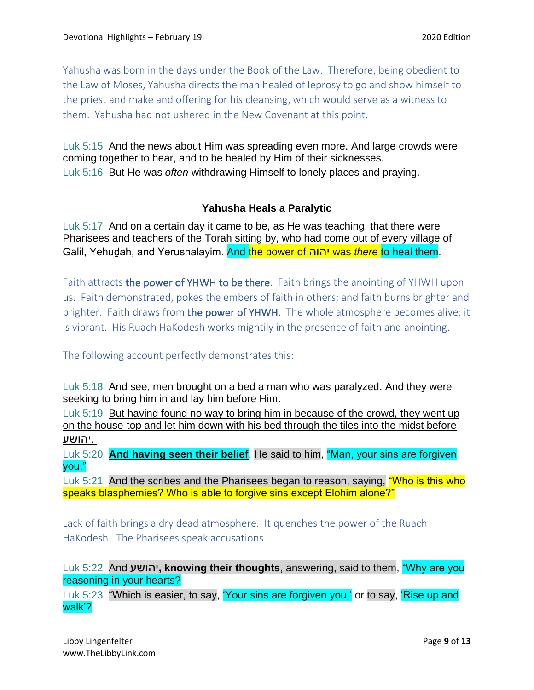Yahusha was born in the days under the Book of the Law. Therefore, being obedient to the Law of Moses, Yahusha directs the man healed of leprosy to go and show himself to the priest and make and offering for his cleansing, which would serve as a witness to them. Yahusha had not ushered in the New Covenant at this point.

Luk 5:15 And the news about Him was spreading even more. And large crowds were coming together to hear, and to be healed by Him of their sicknesses. Luk 5:16 But He was *often* withdrawing Himself to lonely places and praying.

#### **Yahusha Heals a Paralytic**

Luk 5:17 And on a certain day it came to be, as He was teaching, that there were Pharisees and teachers of the Torah sitting by, who had come out of every village of Galil, Yehuḏah, and Yerushalayim. And the power of יהוה was *there* to heal them.

Faith attracts the power of YHWH to be there. Faith brings the anointing of YHWH upon us. Faith demonstrated, pokes the embers of faith in others; and faith burns brighter and brighter. Faith draws from the power of YHWH. The whole atmosphere becomes alive; it is vibrant. His Ruach HaKodesh works mightily in the presence of faith and anointing.

The following account perfectly demonstrates this:

Luk 5:18 And see, men brought on a bed a man who was paralyzed. And they were seeking to bring him in and lay him before Him.

Luk 5:19 But having found no way to bring him in because of the crowd, they went up on the house-top and let him down with his bed through the tiles into the midst before .יהושע

Luk 5:20 **And having seen their belief**, He said to him, "Man, your sins are forgiven you."

Luk 5:21 And the scribes and the Pharisees began to reason, saying, "Who is this who speaks blasphemies? Who is able to forgive sins except Elohim alone?"

Lack of faith brings a dry dead atmosphere. It quenches the power of the Ruach HaKodesh. The Pharisees speak accusations.

Luk 5:22 And יהושע**, knowing their thoughts**, answering, said to them, "Why are you reasoning in your hearts?

Luk 5:23 "Which is easier, to say, 'Your sins are forgiven you,' or to say, 'Rise up and walk'?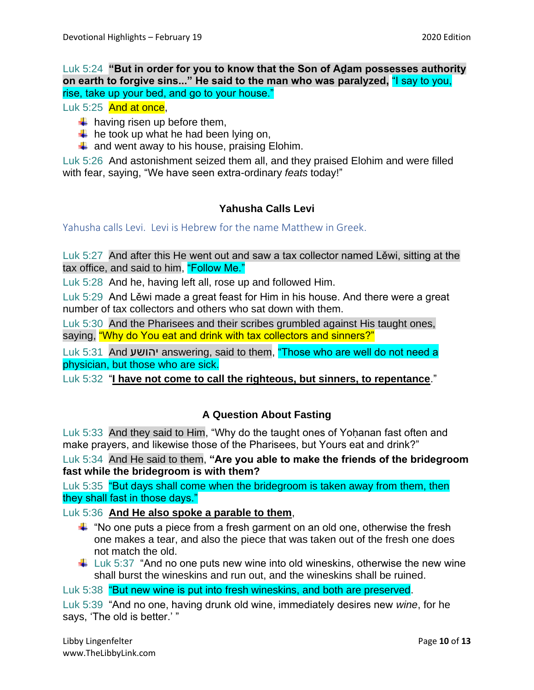### Luk 5:24 **"But in order for you to know that the Son of Aḏam possesses authority on earth to forgive sins..." He said to the man who was paralyzed,** "I say to you, rise, take up your bed, and go to your house."

Luk 5:25 And at once.

- $\downarrow$  having risen up before them,
- $\downarrow$  he took up what he had been lying on,
- $\downarrow$  and went away to his house, praising Elohim.

Luk 5:26 And astonishment seized them all, and they praised Elohim and were filled with fear, saying, "We have seen extra-ordinary *feats* today!"

# **Yahusha Calls Levi**

Yahusha calls Levi. Levi is Hebrew for the name Matthew in Greek.

Luk 5:27 And after this He went out and saw a tax collector named Lěwi, sitting at the tax office, and said to him, "Follow Me."

Luk 5:28 And he, having left all, rose up and followed Him.

Luk 5:29 And Lěwi made a great feast for Him in his house. And there were a great number of tax collectors and others who sat down with them.

Luk 5:30 And the Pharisees and their scribes grumbled against His taught ones, saying, "Why do You eat and drink with tax collectors and sinners?"

Luk 5:31 And יהושע answering, said to them, "Those who are well do not need a physician, but those who are sick.

Luk 5:32 "**I have not come to call the righteous, but sinners, to repentance**."

# **A Question About Fasting**

Luk 5:33 And they said to Him, "Why do the taught ones of Yoḥanan fast often and make prayers, and likewise those of the Pharisees, but Yours eat and drink?"

Luk 5:34 And He said to them, **"Are you able to make the friends of the bridegroom fast while the bridegroom is with them?**

Luk 5:35 "But days shall come when the bridegroom is taken away from them, then they shall fast in those days."

Luk 5:36 **And He also spoke a parable to them**,

- $\ddot$  "No one puts a piece from a fresh garment on an old one, otherwise the fresh one makes a tear, and also the piece that was taken out of the fresh one does not match the old.
- $\downarrow$  Luk 5:37 "And no one puts new wine into old wineskins, otherwise the new wine shall burst the wineskins and run out, and the wineskins shall be ruined.

Luk 5:38 "But new wine is put into fresh wineskins, and both are preserved.

Luk 5:39 "And no one, having drunk old wine, immediately desires new *wine*, for he says, 'The old is better.' "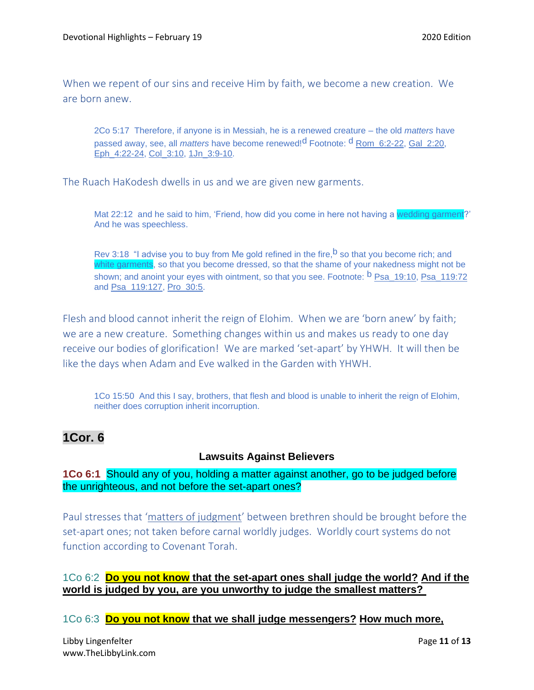When we repent of our sins and receive Him by faith, we become a new creation. We are born anew.

2Co 5:17 Therefore, if anyone is in Messiah, he is a renewed creature – the old *matters* have passed away, see, all *matters* have become renewed!d Footnote: d Rom\_6:2-22, Gal\_2:20, Eph\_4:22-24, Col\_3:10, 1Jn\_3:9-10.

The Ruach HaKodesh dwells in us and we are given new garments.

Mat 22:12 and he said to him, 'Friend, how did you come in here not having a wedding garment?' And he was speechless.

Rev 3:18 "I advise you to buy from Me gold refined in the fire,  $b$  so that you become rich; and white garments, so that you become dressed, so that the shame of your nakedness might not be shown; and anoint your eyes with ointment, so that you see. Footnote: <sup>b</sup> Psa\_19:10, Psa\_119:72 and Psa\_119:127, Pro\_30:5.

Flesh and blood cannot inherit the reign of Elohim. When we are 'born anew' by faith; we are a new creature. Something changes within us and makes us ready to one day receive our bodies of glorification! We are marked 'set-apart' by YHWH. It will then be like the days when Adam and Eve walked in the Garden with YHWH.

1Co 15:50 And this I say, brothers, that flesh and blood is unable to inherit the reign of Elohim, neither does corruption inherit incorruption.

# **1Cor. 6**

#### **Lawsuits Against Believers**

**1Co 6:1** Should any of you, holding a matter against another, go to be judged before the unrighteous, and not before the set-apart ones?

Paul stresses that 'matters of judgment' between brethren should be brought before the set-apart ones; not taken before carnal worldly judges. Worldly court systems do not function according to Covenant Torah.

## 1Co 6:2 **Do you not know that the set-apart ones shall judge the world? And if the world is judged by you, are you unworthy to judge the smallest matters?**

1Co 6:3 **Do you not know that we shall judge messengers? How much more,**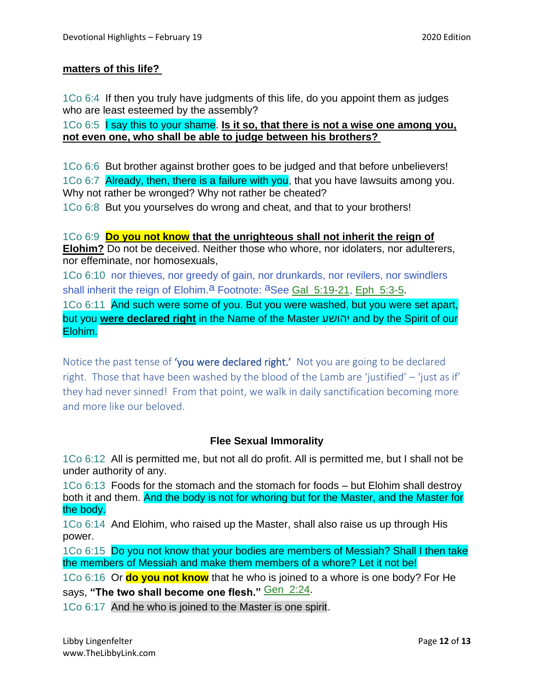### **matters of this life?**

1Co 6:4 If then you truly have judgments of this life, do you appoint them as judges who are least esteemed by the assembly?

1Co 6:5 I say this to your shame. **Is it so, that there is not a wise one among you, not even one, who shall be able to judge between his brothers?**

1Co 6:6 But brother against brother goes to be judged and that before unbelievers! 1Co 6:7 Already, then, there is a failure with you, that you have lawsuits among you. Why not rather be wronged? Why not rather be cheated?

1Co 6:8 But you yourselves do wrong and cheat, and that to your brothers!

1Co 6:9 **Do you not know that the unrighteous shall not inherit the reign of Elohim?** Do not be deceived. Neither those who whore, nor idolaters, nor adulterers, nor effeminate, nor homosexuals,

1Co 6:10 nor thieves, nor greedy of gain, nor drunkards, nor revilers, nor swindlers shall inherit the reign of Elohim.<sup>a</sup> Footnote: <sup>a</sup>See Gal\_5:19-21, Eph\_5:3-5.

1Co 6:11 And such were some of you. But you were washed, but you were set apart, but you **were declared right** in the Name of the Master יהושע and by the Spirit of our Elohim.

Notice the past tense of 'you were declared right.' Not you are going to be declared right. Those that have been washed by the blood of the Lamb are 'justified' – 'just as if' they had never sinned! From that point, we walk in daily sanctification becoming more and more like our beloved.

## **Flee Sexual Immorality**

1Co 6:12 All is permitted me, but not all do profit. All is permitted me, but I shall not be under authority of any.

1Co 6:13 Foods for the stomach and the stomach for foods – but Elohim shall destroy both it and them. And the body is not for whoring but for the Master, and the Master for the body.

1Co 6:14 And Elohim, who raised up the Master, shall also raise us up through His power.

1Co 6:15 Do you not know that your bodies are members of Messiah? Shall I then take the members of Messiah and make them members of a whore? Let it not be!

1Co 6:16 Or **do you not know** that he who is joined to a whore is one body? For He says, "The two shall become one flesh." **Gen\_2:24**.

1Co 6:17 And he who is joined to the Master is one spirit.